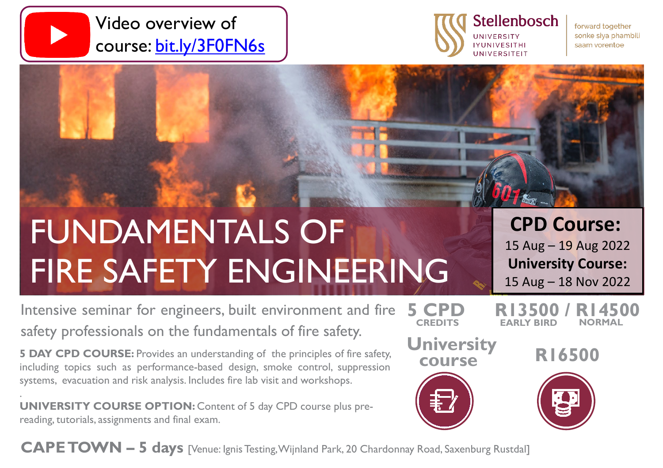



**CREDITS EARLY BIRD**

**course**

forward together sonke siya phambili saam vorentoe

# FUNDAMENTALS OF FIRE SAFETY ENGINEERING

**CPD Course:**

15 Aug – 19 Aug 2022 **University Course:** 15 Aug – 18 Nov 2022

**R13500 / R14500**

**NORMAL**

Intensive seminar for engineers, built environment and fire safety professionals on the fundamentals of fire safety. **5 CPD University R16500** 

**5 DAY CPD COURSE:** Provides an understanding of the principles of fire safety, including topics such as performance-based design, smoke control, suppression systems, evacuation and risk analysis. Includes fire lab visit and workshops.

. **UNIVERSITY COURSE OPTION:** Content of 5 day CPD course plus prereading, tutorials, assignments and final exam.

**CAPETOWN – 5 days** [Venue: IgnisTesting,Wijnland Park, 20 Chardonnay Road, Saxenburg Rustdal]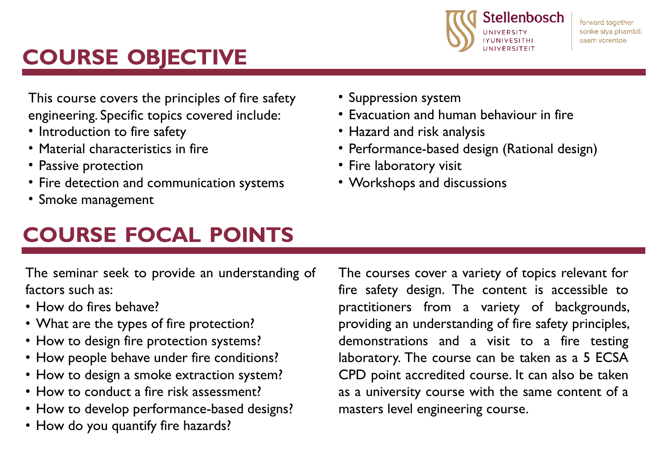

## **COURSE OBJECTIVE**

This course covers the principles of fire safety engineering. Specific topics covered include:

- Introduction to fire safety
- Material characteristics in fire
- Passive protection
- Fire detection and communication systems
- Smoke management

### **COURSE FOCAL POINTS**

• Suppression system

- Evacuation and human behaviour in fire
- Hazard and risk analysis
- Performance-based design (Rational design)
- Fire laboratory visit
- Workshops and discussions

The seminar seek to provide an understanding of factors such as:

- How do fires behave?
- What are the types of fire protection?
- How to design fire protection systems?
- How people behave under fire conditions?
- How to design a smoke extraction system?
- How to conduct a fire risk assessment?
- How to develop performance-based designs?
- How do you quantify fire hazards?

The courses cover a variety of topics relevant for fire safety design. The content is accessible to practitioners from a variety of backgrounds, providing an understanding of fire safety principles, demonstrations and a visit to a fire testing laboratory. The course can be taken as a 5 ECSA CPD point accredited course. It can also be taken as a university course with the same content of a masters level engineering course.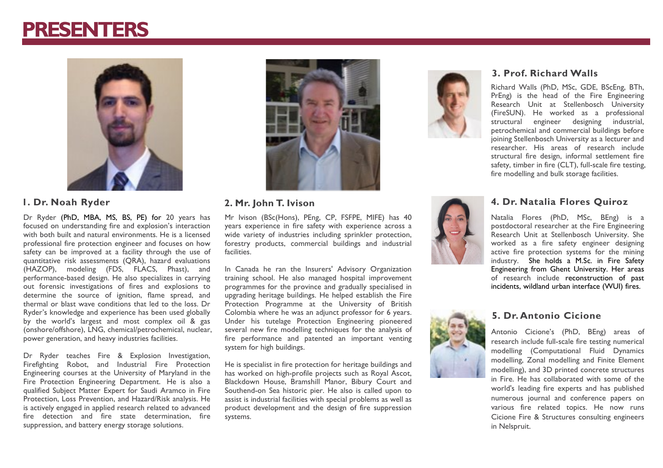### **PRESENTERS**



Dr Ryder (PhD, MBA, MS, BS, PE) for 20 years has focused on understanding fire and explosion's interaction with both built and natural environments. He is a licensed professional fire protection engineer and focuses on how safety can be improved at a facility through the use of quantitative risk assessments (QRA), hazard evaluations (HAZOP), modeling (FDS, FLACS, Phast), and performance-based design. He also specializes in carrying out forensic investigations of fires and explosions to determine the source of ignition, flame spread, and thermal or blast wave conditions that led to the loss. Dr Ryder's knowledge and experience has been used globally by the world's largest and most complex oil & gas (onshore/offshore), LNG, chemical/petrochemical, nuclear, power generation, and heavy industries facilities.

Dr Ryder teaches Fire & Explosion Investigation, Firefighting Robot, and Industrial Fire Protection Engineering courses at the University of Maryland in the Fire Protection Engineering Department. He is also a qualified Subject Matter Expert for Saudi Aramco in Fire Protection, Loss Prevention, and Hazard/Risk analysis. He is actively engaged in applied research related to advanced fire detection and fire state determination, fire suppression, and battery energy storage solutions.



#### **1. Dr. Noah Ryder 2. Mr. John T. Ivison**

Mr Ivison (BSc(Hons), PEng, CP, FSFPE, MIFE) has 40 years experience in fire safety with experience across a wide variety of industries including sprinkler protection, forestry products, commercial buildings and industrial facilities.

In Canada he ran the Insurers' Advisory Organization training school. He also managed hospital improvement programmes for the province and gradually specialised in upgrading heritage buildings. He helped establish the Fire Protection Programme at the University of British Colombia where he was an adjunct professor for 6 years. Under his tutelage Protection Engineering pioneered several new fire modelling techniques for the analysis of fire performance and patented an important venting system for high buildings.

He is specialist in fire protection for heritage buildings and has worked on high-profile projects such as Royal Ascot, Blackdown House, Bramshill Manor, Bibury Court and Southend-on Sea historic pier. He also is called upon to assist is industrial facilities with special problems as well as product development and the design of fire suppression systems.



#### **3. Prof. Richard Walls**

Richard Walls (PhD, MSc, GDE, BScEng, BTh, PrEng) is the head of the Fire Engineering Research Unit at Stellenbosch University (FireSUN). He worked as a professional structural engineer designing industrial, petrochemical and commercial buildings before joining Stellenbosch University as a lecturer and researcher. His areas of research include structural fire design, informal settlement fire safety, timber in fire (CLT), full-scale fire testing, fire modelling and bulk storage facilities.



#### **4. Dr. Natalia Flores Quiroz**

Natalia Flores (PhD, MSc, BEng) is a postdoctoral researcher at the Fire Engineering Research Unit at Stellenbosch University. She worked as a fire safety engineer designing active fire protection systems for the mining industry. She holds a M.Sc. in Fire Safety Engineering from Ghent University. Her areas of research include reconstruction of past incidents, wildland urban interface (WUI) fires.



#### **5. Dr. Antonio Cicione**

Antonio Cicione's (PhD, BEng) areas of research include full-scale fire testing numerical modelling (Computational Fluid Dynamics modelling, Zonal modelling and Finite Element modelling), and 3D printed concrete structures in Fire. He has collaborated with some of the world's leading fire experts and has published numerous journal and conference papers on various fire related topics. He now runs Cicione Fire & Structures consulting engineers in Nelspruit.